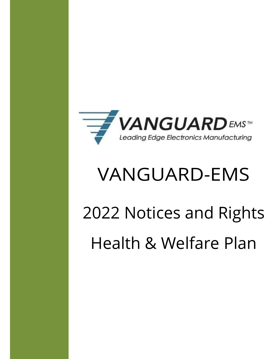

# VANGUARD-EMS

# 2022 Notices and Rights Health & Welfare Plan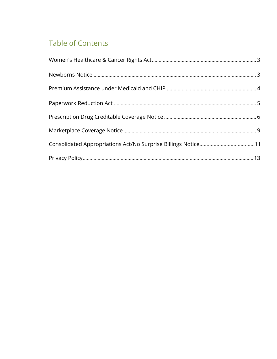# **Table of Contents**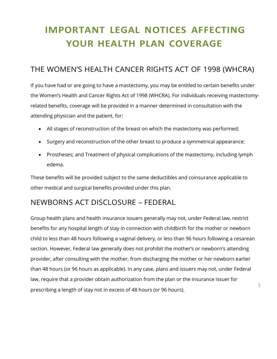# IMPORTANT LEGAL NOTICES AFFECTING YOUR HEALTH PLAN COVERAGE

# THE WOMEN'S HEALTH CANCER RIGHTS ACT OF 1998 (WHCRA)

If you have had or are going to have a mastectomy, you may be entitled to certain benefits under the Women's Health and Cancer Rights Act of 1998 (WHCRA). For individuals receiving mastectomyrelated benefits, coverage will be provided in a manner determined in consultation with the attending physician and the patient, for:

- All stages of reconstruction of the breast on which the mastectomy was performed;
- Surgery and reconstruction of the other breast to produce a symmetrical appearance;
- Prostheses; and Treatment of physical complications of the mastectomy, including lymph edema.

These benefits will be provided subject to the same deductibles and coinsurance applicable to other medical and surgical benefits provided under this plan.

# NEWBORNS ACT DISCLOSURE – FEDERAL

Group health plans and health insurance issuers generally may not, under Federal law, restrict benefits for any hospital length of stay in connection with childbirth for the mother or newborn child to less than 48 hours following a vaginal delivery, or less than 96 hours following a cesarean section. However, Federal law generally does not prohibit the mother's or newborn's attending provider, after consulting with the mother, from discharging the mother or her newborn earlier than 48 hours (or 96 hours as applicable). In any case, plans and issuers may not, under Federal law, require that a provider obtain authorization from the plan or the insurance issuer for prescribing a length of stay not in excess of 48 hours (or 96 hours).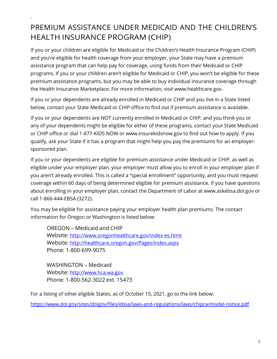### $\mathbf{v} = \mathbf{v}$ PREMIUM ASSISTANCE UNDER MEDICAID AND THE CHILDREN'S HEALTH INSURANCE PROGRAM (CHIP)

If you or your children are eligible for Medicaid or the Children's Health Insurance Program (CHIP) and you're eligible for health coverage from your employer, your State may have a premium assistance program that can help pay for coverage, using funds from their Medicaid or CHIP programs. If you or your children aren't eligible for Medicaid or CHIP, you won't be eligible for these premium assistance programs, but you may be able to buy individual insurance coverage through the Health Insurance Marketplace. For more information, visit www.healthcare.gov.

If you or your dependents are already enrolled in Medicaid or CHIP and you live in a State listed below, contact your State Medicaid or CHIP office to find out if premium assistance is available.

If you or your dependents are NOT currently enrolled in Medicaid or CHIP, and you think you or any of your dependents might be eligible for either of these programs, contact your State Medicaid or CHIP office or dial 1-877-KIDS NOW or www.insurekidsnow.gov to find out how to apply. If you qualify, ask your State if it has a program that might help you pay the premiums for an employersponsored plan.

If you or your dependents are eligible for premium assistance under Medicaid or CHIP, as well as eligible under your employer plan, your employer must allow you to enroll in your employer plan if you aren't already enrolled. This is called a "special enrollment" opportunity, and you must request coverage within 60 days of being determined eligible for premium assistance. If you have questions about enrolling in your employer plan, contact the Department of Labor at www.askebsa.dol.gov or call 1-866-444-EBSA (3272).

You may be eligible for assistance paying your employer health plan premiums. The contact information for Oregon or Washington is listed below:

OREGON – Medicaid and CHIP Website: http://www.oregonhealthcare.gov/index-es.html Website: http://healthcare.oregon.gov/Pages/index.aspx Phone: 1-800-699-9075

WASHINGTON – Medicaid Website: http://www.hca.wa.gov Phone: 1-800-562-3022 ext. 15473

For a listing of other eligible States, as of October 15, 2021, go to the link below:

https://www.dol.gov/sites/dolgov/files/ebsa/laws-and-regulations/laws/chipra/model-notice.pdf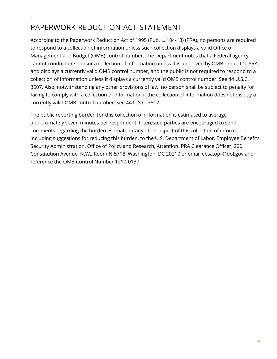#### $\mathbf{v} = \mathbf{v}$ PAPERWORK REDUCTION ACT STATEMENT

According to the Paperwork Reduction Act of 1995 (Pub. L. 104-13) (PRA), no persons are required to respond to a collection of information unless such collection displays a valid Office of Management and Budget (OMB) control number. The Department notes that a Federal agency cannot conduct or sponsor a collection of information unless it is approved by OMB under the PRA, and displays a currently valid OMB control number, and the public is not required to respond to a collection of information unless it displays a currently valid OMB control number. See 44 U.S.C. 3507. Also, notwithstanding any other provisions of law, no person shall be subject to penalty for failing to comply with a collection of information if the collection of information does not display a currently valid OMB control number. See 44 U.S.C. 3512.

The public reporting burden for this collection of information is estimated to average approximately seven minutes per respondent. Interested parties are encouraged to send comments regarding the burden estimate or any other aspect of this collection of information, including suggestions for reducing this burden, to the U.S. Department of Labor, Employee Benefits Security Administration, Office of Policy and Research, Attention: PRA Clearance Officer, 200 Constitution Avenue, N.W., Room N-5718, Washington, DC 20210 or email ebsa.opr@dol.gov and reference the OMB Control Number 1210-0137.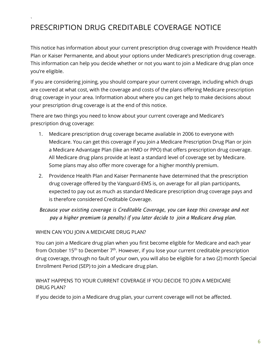#### $\mathbf{v} = \mathbf{v}$ PRESCRIPTION DRUG CREDITABLE COVERAGE NOTICE

This notice has information about your current prescription drug coverage with Providence Health Plan or Kaiser Permanente, and about your options under Medicare's prescription drug coverage. This information can help you decide whether or not you want to join a Medicare drug plan once you're eligible.

If you are considering joining, you should compare your current coverage, including which drugs are covered at what cost, with the coverage and costs of the plans offering Medicare prescription drug coverage in your area. Information about where you can get help to make decisions about your prescription drug coverage is at the end of this notice.

There are two things you need to know about your current coverage and Medicare's prescription drug coverage:

- 1. Medicare prescription drug coverage became available in 2006 to everyone with Medicare. You can get this coverage if you join a Medicare Prescription Drug Plan or join a Medicare Advantage Plan (like an HMO or PPO) that offers prescription drug coverage. All Medicare drug plans provide at least a standard level of coverage set by Medicare. Some plans may also offer more coverage for a higher monthly premium.
- 2. Providence Health Plan and Kaiser Permanente have determined that the prescription drug coverage offered by the Vanguard-EMS is, on average for all plan participants, expected to pay out as much as standard Medicare prescription drug coverage pays and is therefore considered Creditable Coverage.

#### Because your existing coverage is Creditable Coverage, you can keep this coverage and not pay a higher premium (a penalty) if you later decide to join a Medicare drug plan.

#### WHEN CAN YOU JOIN A MEDICARE DRUG PLAN?

You can join a Medicare drug plan when you first become eligible for Medicare and each year from October 15<sup>th</sup> to December 7<sup>th</sup>. However, if you lose your current creditable prescription drug coverage, through no fault of your own, you will also be eligible for a two (2) month Special Enrollment Period (SEP) to join a Medicare drug plan.

#### WHAT HAPPENS TO YOUR CURRENT COVERAGE IF YOU DECIDE TO JOIN A MEDICARE DRUG PLAN?

If you decide to join a Medicare drug plan, your current coverage will not be affected.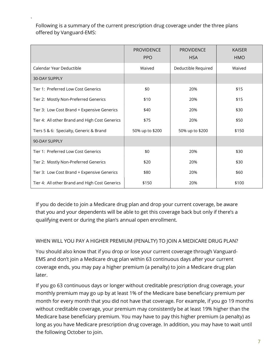$\mathbf{v} = \mathbf{v}$ Following is a summary of the current prescription drug coverage under the three plans offered by Vanguard-EMS:

|                                                | <b>PROVIDENCE</b><br><b>PPO</b> | PROVIDENCE<br><b>HSA</b> | <b>KAISER</b><br><b>HMO</b> |
|------------------------------------------------|---------------------------------|--------------------------|-----------------------------|
| Calendar Year Deductible                       | Waived                          | Deductible Required      | Waived                      |
| <b>30-DAY SUPPLY</b>                           |                                 |                          |                             |
| Tier 1: Preferred Low Cost Generics            | \$0                             | 20%                      | \$15                        |
| Tier 2: Mostly Non-Preferred Generics          | \$10                            | 20%                      | \$15                        |
| Tier 3: Low Cost Brand + Expensive Generics    | \$40                            | 20%                      | \$30                        |
| Tier 4: All other Brand and High Cost Generics | \$75                            | 20%                      | \$50                        |
| Tiers 5 & 6: Specialty, Generic & Brand        | 50% up to \$200                 | 50% up to \$200          | \$150                       |
| 90-DAY SUPPLY                                  |                                 |                          |                             |
| Tier 1: Preferred Low Cost Generics            | \$0                             | 20%                      | \$30                        |
| Tier 2: Mostly Non-Preferred Generics          | \$20                            | 20%                      | \$30                        |
| Tier 3: Low Cost Brand + Expensive Generics    | \$80                            | 20%                      | \$60                        |
| Tier 4: All other Brand and High Cost Generics | \$150                           | 20%                      | \$100                       |

If you do decide to join a Medicare drug plan and drop your current coverage, be aware that you and your dependents will be able to get this coverage back but only if there's a qualifying event or during the plan's annual open enrollment.

#### WHEN WILL YOU PAY A HIGHER PREMIUM (PENALTY) TO JOIN A MEDICARE DRUG PLAN?

You should also know that if you drop or lose your current coverage through Vanguard-EMS and don't join a Medicare drug plan within 63 continuous days after your current coverage ends, you may pay a higher premium (a penalty) to join a Medicare drug plan later.

If you go 63 continuous days or longer without creditable prescription drug coverage, your monthly premium may go up by at least 1% of the Medicare base beneficiary premium per month for every month that you did not have that coverage. For example, if you go 19 months without creditable coverage, your premium may consistently be at least 19% higher than the Medicare base beneficiary premium. You may have to pay this higher premium (a penalty) as long as you have Medicare prescription drug coverage. In addition, you may have to wait until the following October to join.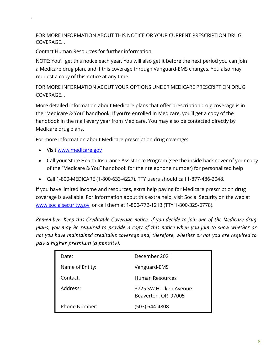FOR MORE INFORMATION ABOUT THIS NOTICE OR YOUR CURRENT PRESCRIPTION DRUG COVERAGE…

Contact Human Resources for further information.

NOTE: You'll get this notice each year. You will also get it before the next period you can join a Medicare drug plan, and if this coverage through Vanguard-EMS changes. You also may request a copy of this notice at any time.

FOR MORE INFORMATION ABOUT YOUR OPTIONS UNDER MEDICARE PRESCRIPTION DRUG COVERAGE…

More detailed information about Medicare plans that offer prescription drug coverage is in the "Medicare & You" handbook. If you're enrolled in Medicare, you'll get a copy of the handbook in the mail every year from Medicare. You may also be contacted directly by Medicare drug plans.

For more information about Medicare prescription drug coverage:

• Visit www.medicare.gov

 $\mathbf{v} = \mathbf{v}$ 

- Call your State Health Insurance Assistance Program (see the inside back cover of your copy of the "Medicare & You" handbook for their telephone number) for personalized help
- Call 1-800-MEDICARE (1-800-633-4227). TTY users should call 1-877-486-2048.

If you have limited income and resources, extra help paying for Medicare prescription drug coverage is available. For information about this extra help, visit Social Security on the web at www.socialsecurity.gov, or call them at 1-800-772-1213 (TTY 1-800-325-0778).

Remember: Keep this Creditable Coverage notice. If you decide to join one of the Medicare drug plans, you may be required to provide a copy of this notice when you join to show whether or not you have maintained creditable coverage and, therefore, whether or not you are required to pay a higher premium (a penalty).

| Date:           | December 2021                                |  |  |
|-----------------|----------------------------------------------|--|--|
| Name of Entity: | Vanguard-EMS                                 |  |  |
| Contact:        | Human Resources                              |  |  |
| Address:        | 3725 SW Hocken Avenue<br>Beaverton, OR 97005 |  |  |
| Phone Number:   | (503) 644-4808                               |  |  |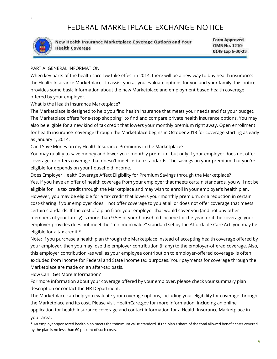# FEDERAL MARKETPLACE EXCHANGE NOTICE



 $\mathbf{v} = \mathbf{v}$ 

New Health Insurance Marketplace Coverage Options and Your **Health Coverage** 

**Form Approved** OMB No. 1210-0149 Exp 6-30-23

#### PART A: GENERAL INFORMATION

When key parts of the health care law take effect in 2014, there will be a new way to buy health insurance: the Health Insurance Marketplace. To assist you as you evaluate options for you and your family, this notice provides some basic information about the new Marketplace and employment based health coverage offered by your employer.

What is the Health Insurance Marketplace?

The Marketplace is designed to help you find health insurance that meets your needs and fits your budget. The Marketplace offers "one-stop shopping" to find and compare private health insurance options. You may also be eligible for a new kind of tax credit that lowers your monthly premium right away. Open enrollment for health insurance coverage through the Marketplace begins in October 2013 for coverage starting as early as January 1, 2014.

Can I Save Money on my Health Insurance Premiums in the Marketplace?

You may qualify to save money and lower your monthly premium, but only if your employer does not offer coverage, or offers coverage that doesn't meet certain standards. The savings on your premium that you're eligible for depends on your household income.

Does Employer Health Coverage Affect Eligibility for Premium Savings through the Marketplace? Yes. If you have an offer of health coverage from your employer that meets certain standards, you will not be eligible for a tax credit through the Marketplace and may wish to enroll in your employer's health plan. However, you may be eligible for a tax credit that lowers your monthly premium, or a reduction in certain cost-sharing if your employer does not offer coverage to you at all or does not offer coverage that meets certain standards. If the cost of a plan from your employer that would cover you (and not any other members of your family) is more than 9.5% of your household income for the year, or if the coverage your employer provides does not meet the "minimum value" standard set by the Affordable Care Act, you may be eligible for a tax credit.\*

Note: If you purchase a health plan through the Marketplace instead of accepting health coverage offered by your employer, then you may lose the employer contribution (if any) to the employer-offered coverage. Also, this employer contribution -as well as your employee contribution to employer-offered coverage- is often excluded from income for Federal and State income tax purposes. Your payments for coverage through the Marketplace are made on an after-tax basis.

How Can I Get More Information?

For more information about your coverage offered by your employer, please check your summary plan description or contact the HR Department.

The Marketplace can help you evaluate your coverage options, including your eligibility for coverage through the Marketplace and its cost. Please visit HealthCare.gov for more information, including an online application for health insurance coverage and contact information for a Health Insurance Marketplace in your area.

\* An employer-sponsored health plan meets the "minimum value standard" if the plan's share of the total allowed benefit costs covered by the plan is no less than 60 percent of such costs.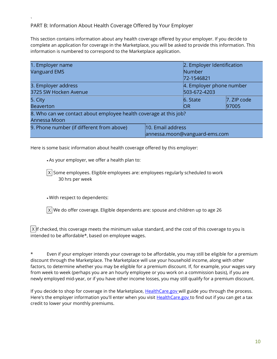#### $\mathbf{v} = \mathbf{v}$ PART B: Information About Health Coverage Offered by Your Employer

This section contains information about any health coverage offered by your employer. If you decide to complete an application for coverage in the Marketplace, you will be asked to provide this information. This information is numbered to correspond to the Marketplace application.

| 1. Employer name                                                  |                               | 2. Employer Identification |                |  |  |  |
|-------------------------------------------------------------------|-------------------------------|----------------------------|----------------|--|--|--|
| <b>Vanguard EMS</b>                                               |                               | Number                     |                |  |  |  |
|                                                                   |                               | 72-1546821                 |                |  |  |  |
| 3. Employer address                                               |                               | 4. Employer phone number   |                |  |  |  |
| 3725 SW Hocken Avenue                                             | 503-672-4203                  |                            |                |  |  |  |
| 5. City                                                           |                               | $6.$ State                 | $ 7.$ ZIP code |  |  |  |
| <b>Beaverton</b>                                                  | <b>IOR</b>                    | 97005                      |                |  |  |  |
| 8. Who can we contact about employee health coverage at this job? |                               |                            |                |  |  |  |
| Annessa Moon                                                      |                               |                            |                |  |  |  |
| 9. Phone number (if different from above)                         | 10. Email address             |                            |                |  |  |  |
|                                                                   | annessa.moon@vanguard-ems.com |                            |                |  |  |  |

Here is some basic information about health coverage offered by this employer:

As your employer, we offer a health plan to:

Some employees. Eligible employees are: employees regularly scheduled to work X 30 hrs per week

With respect to dependents:

 $\mathsf{X} \vert$  We do offer coverage. Eligible dependents are: spouse and children up to age 26  $\;$ 

 $\lvert \bm{\chi} \rvert$ lf checked, this coverage meets the minimum value standard, and the cost of this coverage to you is intended to be affordable\*, based on employee wages.

\* Even if your employer intends your coverage to be affordable, you may still be eligible for a premium discount through the Marketplace. The Marketplace will use your household income, along with other factors, to determine whether you may be eligible for a premium discount. If, for example, your wages vary from week to week (perhaps you are an hourly employee or you work on a commission basis), if you are newly employed mid-year, or if you have other income losses, you may still qualify for a premium discount.

If you decide to shop for coverage in the Marketplace, HealthCare.gov will guide you through the process. Here's the employer information you'll enter when you visit **HealthCare.gov** to find out if you can get a tax credit to lower your monthly premiums.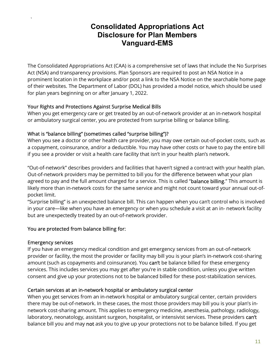## Consolidated Appropriations Act Disclosure for Plan Members Vanguard-EMS

The Consolidated Appropriations Act (CAA) is a comprehensive set of laws that include the No Surprises Act (NSA) and transparency provisions. Plan Sponsors are required to post an NSA Notice in a prominent location in the workplace and/or post a link to the NSA Notice on the searchable home page of their websites. The Department of Labor (DOL) has provided a model notice, which should be used for plan years beginning on or after January 1, 2022.

#### Your Rights and Protections Against Surprise Medical Bills

When you get emergency care or get treated by an out-of-network provider at an in-network hospital or ambulatory surgical center, you are protected from surprise billing or balance billing.

#### What is "balance billing" (sometimes called "surprise billing")?

When you see a doctor or other health care provider, you may owe certain out-of-pocket costs, such as a copayment, coinsurance, and/or a deductible. You may have other costs or have to pay the entire bill if you see a provider or visit a health care facility that isn't in your health plan's network.

"Out-of-network" describes providers and facilities that haven't signed a contract with your health plan. Out-of-network providers may be permitted to bill you for the difference between what your plan agreed to pay and the full amount charged for a service. This is called "balance billing." This amount is likely more than in-network costs for the same service and might not count toward your annual out-ofpocket limit.

"Surprise billing" is an unexpected balance bill. This can happen when you can't control who is involved in your care—like when you have an emergency or when you schedule a visit at an in- network facility but are unexpectedly treated by an out-of-network provider.

#### You are protected from balance billing for:

#### Emergency services

 $\mathbf{v} = \mathbf{v}$ 

If you have an emergency medical condition and get emergency services from an out-of-network provider or facility, the most the provider or facility may bill you is your plan's in-network cost-sharing amount (such as copayments and coinsurance). You can't be balance billed for these emergency services. This includes services you may get after you're in stable condition, unless you give written consent and give up your protections not to be balanced billed for these post-stabilization services.

#### Certain services at an in-network hospital or ambulatory surgical center

When you get services from an in-network hospital or ambulatory surgical center, certain providers there may be out-of-network. In these cases, the most those providers may bill you is your plan's innetwork cost-sharing amount. This applies to emergency medicine, anesthesia, pathology, radiology, laboratory, neonatology, assistant surgeon, hospitalist, or intensivist services. These providers can't balance bill you and may not ask you to give up your protections not to be balance billed. If you get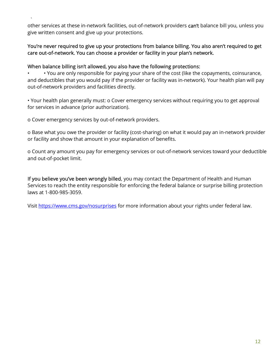$\mathbf{v} = \mathbf{v}$ other services at these in-network facilities, out-of-network providers can't balance bill you, unless you give written consent and give up your protections.

#### You're never required to give up your protections from balance billing. You also aren't required to get care out-of-network. You can choose a provider or facility in your plan's network.

#### When balance billing isn't allowed, you also have the following protections:

• • You are only responsible for paying your share of the cost (like the copayments, coinsurance, and deductibles that you would pay if the provider or facility was in-network). Your health plan will pay out-of-network providers and facilities directly.

• Your health plan generally must: o Cover emergency services without requiring you to get approval for services in advance (prior authorization).

o Cover emergency services by out-of-network providers.

o Base what you owe the provider or facility (cost-sharing) on what it would pay an in-network provider or facility and show that amount in your explanation of benefits.

o Count any amount you pay for emergency services or out-of-network services toward your deductible and out-of-pocket limit.

If you believe you've been wrongly billed, you may contact the Department of Health and Human Services to reach the entity responsible for enforcing the federal balance or surprise billing protection laws at 1-800-985-3059.

Visit https://www.cms.gov/nosurprises for more information about your rights under federal law.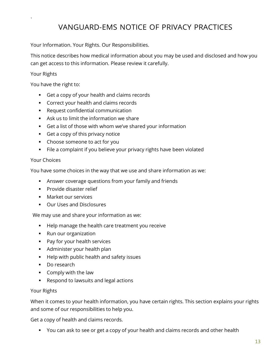#### $\mathbf{v} = \mathbf{v}$ VANGUARD-EMS NOTICE OF PRIVACY PRACTICES

Your Information. Your Rights. Our Responsibilities.

This notice describes how medical information about you may be used and disclosed and how you can get access to this information. Please review it carefully.

#### Your Rights

You have the right to:

- Get a copy of your health and claims records
- **Correct your health and claims records**
- **Request confidential communication**
- Ask us to limit the information we share
- Get a list of those with whom we've shared your information
- Get a copy of this privacy notice
- Choose someone to act for you
- File a complaint if you believe your privacy rights have been violated

#### Your Choices

You have some choices in the way that we use and share information as we:

- Answer coverage questions from your family and friends
- **Provide disaster relief**
- **Market our services**
- **Our Uses and Disclosures**

We may use and share your information as we:

- Help manage the health care treatment you receive
- Run our organization
- **Pay for your health services**
- **Administer your health plan**
- **Help with public health and safety issues**
- Do research
- **Comply with the law**
- Respond to lawsuits and legal actions

#### Your Rights

When it comes to your health information, you have certain rights. This section explains your rights and some of our responsibilities to help you.

Get a copy of health and claims records.

You can ask to see or get a copy of your health and claims records and other health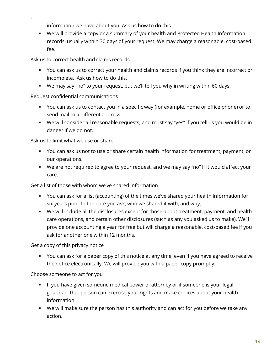$\mathbf{v} = \mathbf{v}$ information we have about you. Ask us how to do this.

 We will provide a copy or a summary of your health and Protected Health Information records, usually within 30 days of your request. We may charge a reasonable, cost-based fee.

Ask us to correct health and claims records

- You can ask us to correct your health and claims records if you think they are incorrect or incomplete. Ask us how to do this.
- We may say "no" to your request, but we'll tell you why in writing within 60 days.

#### Request confidential communications

- You can ask us to contact you in a specific way (for example, home or office phone) or to send mail to a different address.
- We will consider all reasonable requests, and must say "yes" if you tell us you would be in danger if we do not.

Ask us to limit what we use or share

- You can ask us not to use or share certain health information for treatment, payment, or our operations.
- We are not required to agree to your request, and we may say "no" if it would affect your care.

Get a list of those with whom we've shared information

- You can ask for a list (accounting) of the times we've shared your health information for six years prior to the date you ask, who we shared it with, and why.
- We will include all the disclosures except for those about treatment, payment, and health care operations, and certain other disclosures (such as any you asked us to make). We'll provide one accounting a year for free but will charge a reasonable, cost-based fee if you ask for another one within 12 months.

Get a copy of this privacy notice

 You can ask for a paper copy of this notice at any time, even if you have agreed to receive the notice electronically. We will provide you with a paper copy promptly.

Choose someone to act for you

- **If you have given someone medical power of attorney or if someone is your legal** guardian, that person can exercise your rights and make choices about your health information.
- We will make sure the person has this authority and can act for you before we take any action.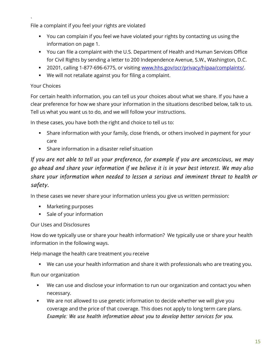$\mathbf{v} = \mathbf{v}$ File a complaint if you feel your rights are violated

- You can complain if you feel we have violated your rights by contacting us using the information on page 1.
- You can file a complaint with the U.S. Department of Health and Human Services Office for Civil Rights by sending a letter to 200 Independence Avenue, S.W., Washington, D.C.
- 20201, calling 1-877-696-6775, or visiting www.hhs.gov/ocr/privacy/hipaa/complaints/.
- We will not retaliate against you for filing a complaint.

#### Your Choices

For certain health information, you can tell us your choices about what we share. If you have a clear preference for how we share your information in the situations described below, talk to us. Tell us what you want us to do, and we will follow your instructions.

In these cases, you have both the right and choice to tell us to:

- Share information with your family, close friends, or others involved in payment for your care
- Share information in a disaster relief situation

### If you are not able to tell us your preference, for example if you are unconscious, we may go ahead and share your information if we believe it is in your best interest. We may also share your information when needed to lessen a serious and imminent threat to health or safety.

In these cases we never share your information unless you give us written permission:

- **Marketing purposes**
- **Sale of your information**

#### Our Uses and Disclosures

How do we typically use or share your health information? We typically use or share your health information in the following ways.

#### Help manage the health care treatment you receive

We can use your health information and share it with professionals who are treating you.

#### Run our organization

- We can use and disclose your information to run our organization and contact you when necessary.
- We are not allowed to use genetic information to decide whether we will give you coverage and the price of that coverage. This does not apply to long term care plans. Example: We use health information about you to develop better services for you.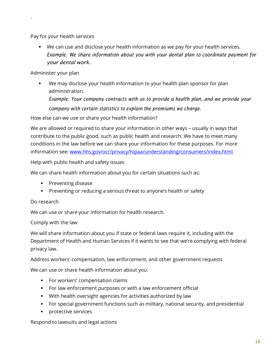Pay for your health services

 $\mathbf{v} = \mathbf{v}$ 

 We can use and disclose your health information as we pay for your health services. Example: We share information about you with your dental plan to coordinate payment for your dental work.

#### Administer your plan

 We may disclose your health information to your health plan sponsor for plan administration.

Example: Your company contracts with us to provide a health plan, and we provide your company with certain statistics to explain the premiums we charge.

How else can we use or share your health information?

We are allowed or required to share your information in other ways – usually in ways that contribute to the public good, such as public health and research. We have to meet many conditions in the law before we can share your information for these purposes. For more information see: www.hhs.gov/ocr/privacy/hipaa/understanding/consumers/index.html.

Help with public health and safety issues

We can share health information about you for certain situations such as:

- **Preventing disease**
- **Preventing or reducing a serious threat to anyone's health or safety**

#### Do research

We can use or share your information for health research.

#### Comply with the law

We will share information about you if state or federal laws require it, including with the Department of Health and Human Services if it wants to see that we're complying with federal privacy law.

Address workers' compensation, law enforcement, and other government requests

We can use or share health information about you:

- **For workers' compensation claims**
- For law enforcement purposes or with a law enforcement official
- With health oversight agencies for activities authorized by law
- For special government functions such as military, national security, and presidential
- **Protective services**

Respond to lawsuits and legal actions